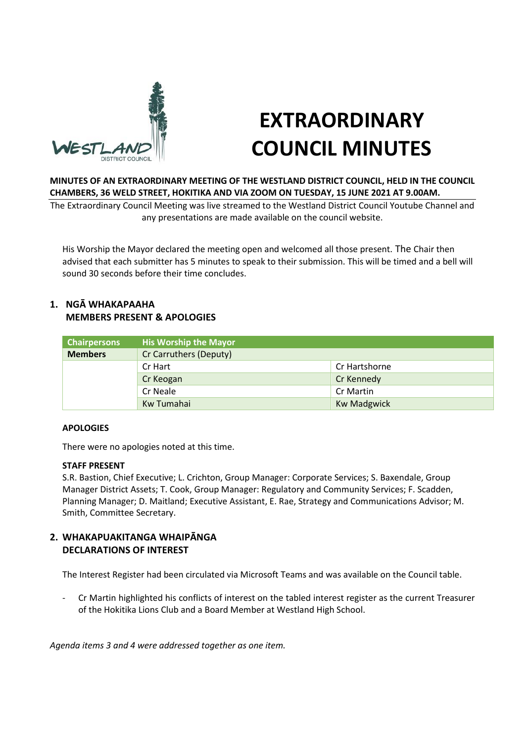

# **EXTRAORDINARY COUNCIL MINUTES**

## **MINUTES OF AN EXTRAORDINARY MEETING OF THE WESTLAND DISTRICT COUNCIL, HELD IN THE COUNCIL CHAMBERS, 36 WELD STREET, HOKITIKA AND VIA ZOOM ON TUESDAY, 15 JUNE 2021 AT 9.00AM.**

The Extraordinary Council Meeting was live streamed to the Westland District Council Youtube Channel and any presentations are made available on the council website.

His Worship the Mayor declared the meeting open and welcomed all those present. The Chair then advised that each submitter has 5 minutes to speak to their submission. This will be timed and a bell will sound 30 seconds before their time concludes.

## **1. NGĀ WHAKAPAAHA MEMBERS PRESENT & APOLOGIES**

| <b>Chairpersons</b> | <b>His Worship the Mayor</b> |                    |
|---------------------|------------------------------|--------------------|
| <b>Members</b>      | Cr Carruthers (Deputy)       |                    |
|                     | Cr Hart                      | Cr Hartshorne      |
|                     | Cr Keogan                    | Cr Kennedy         |
|                     | Cr Neale                     | Cr Martin          |
|                     | Kw Tumahai                   | <b>Kw Madgwick</b> |

## **APOLOGIES**

There were no apologies noted at this time.

## **STAFF PRESENT**

S.R. Bastion, Chief Executive; L. Crichton, Group Manager: Corporate Services; S. Baxendale, Group Manager District Assets; T. Cook, Group Manager: Regulatory and Community Services; F. Scadden, Planning Manager; D. Maitland; Executive Assistant, E. Rae, Strategy and Communications Advisor; M. Smith, Committee Secretary.

# **2. WHAKAPUAKITANGA WHAIPĀNGA DECLARATIONS OF INTEREST**

The Interest Register had been circulated via Microsoft Teams and was available on the Council table.

- Cr Martin highlighted his conflicts of interest on the tabled interest register as the current Treasurer of the Hokitika Lions Club and a Board Member at Westland High School.

*Agenda items 3 and 4 were addressed together as one item.*